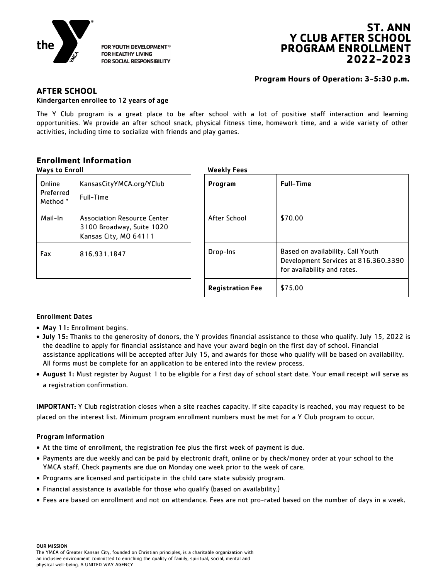

FOR YOUTH DEVELOPMENT® **FOR HEALTHY LIVING** FOR SOCIAL RESPONSIBILITY

# **ST. ANN Y CLUB AFTER SCHOOL PROGRAM ENROLLMENT 2022-2023**

# **Program Hours of Operation: 3-5:30 p.m.**

# **AFTER SCHOOL**

### Kindergarten enrollee to 12 years of age

The Y Club program is a great place to be after school with a lot of positive staff interaction and learning opportunities. We provide an after school snack, physical fitness time, homework time, and a wide variety of other activities, including time to socialize with friends and play games.

# **Enrollment Information**

| <b>Ways to Enroll</b>                               |                                                                                          | <b>Weekly Fees</b>      |                                                                                                          |  |
|-----------------------------------------------------|------------------------------------------------------------------------------------------|-------------------------|----------------------------------------------------------------------------------------------------------|--|
| Online<br>Preferred<br><b>Full-Time</b><br>Method * | KansasCityYMCA.org/YClub                                                                 | Program                 | <b>Full-Time</b>                                                                                         |  |
| Mail-In                                             | <b>Association Resource Center</b><br>3100 Broadway, Suite 1020<br>Kansas City, MO 64111 | After School            | \$70.00                                                                                                  |  |
| Fax                                                 | 816.931.1847                                                                             | Drop-Ins                | Based on availability. Call Youth<br>Development Services at 816.360.3390<br>for availability and rates. |  |
|                                                     |                                                                                          | <b>Registration Fee</b> | \$75.00                                                                                                  |  |

## Enrollment Dates

- May 11: Enrollment begins.
- July 15: Thanks to the generosity of donors, the Y provides financial assistance to those who qualify. July 15, 2022 is the deadline to apply for financial assistance and have your award begin on the first day of school. Financial assistance applications will be accepted after July 15, and awards for those who qualify will be based on availability. All forms must be complete for an application to be entered into the review process.
- August 1: Must register by August 1 to be eligible for a first day of school start date. Your email receipt will serve as a registration confirmation.

IMPORTANT: Y Club registration closes when a site reaches capacity. If site capacity is reached, you may request to be placed on the interest list. Minimum program enrollment numbers must be met for a Y Club program to occur.

## Program Information

- At the time of enrollment, the registration fee plus the first week of payment is due.
- Payments are due weekly and can be paid by electronic draft, online or by check/money order at your school to the YMCA staff. Check payments are due on Monday one week prior to the week of care.
- Programs are licensed and participate in the child care state subsidy program.
- Financial assistance is available for those who qualify (based on availability.)
- Fees are based on enrollment and not on attendance. Fees are not pro-rated based on the number of days in a week.

OUR MISSION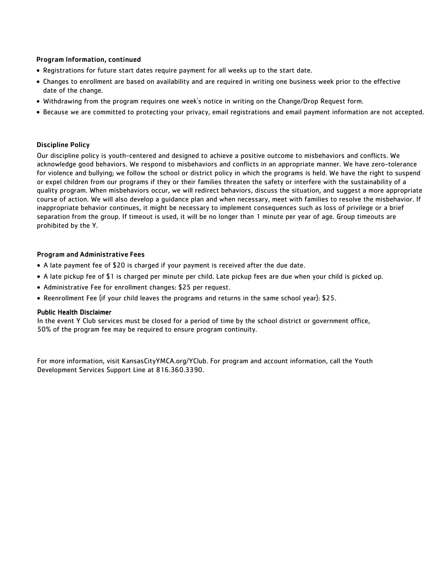### Program Information, continued

- Registrations for future start dates require payment for all weeks up to the start date.
- Changes to enrollment are based on availability and are required in writing one business week prior to the effective date of the change.
- Withdrawing from the program requires one week's notice in writing on the Change/Drop Request form.
- Because we are committed to protecting your privacy, email registrations and email payment information are not accepted.

#### Discipline Policy

Our discipline policy is youth-centered and designed to achieve a positive outcome to misbehaviors and conflicts. We acknowledge good behaviors. We respond to misbehaviors and conflicts in an appropriate manner. We have zero-tolerance for violence and bullying; we follow the school or district policy in which the programs is held. We have the right to suspend or expel children from our programs if they or their families threaten the safety or interfere with the sustainability of a quality program. When misbehaviors occur, we will redirect behaviors, discuss the situation, and suggest a more appropriate course of action. We will also develop a guidance plan and when necessary, meet with families to resolve the misbehavior. If inappropriate behavior continues, it might be necessary to implement consequences such as loss of privilege or a brief separation from the group. If timeout is used, it will be no longer than 1 minute per year of age. Group timeouts are prohibited by the Y.

#### Program and Administrative Fees

- A late payment fee of \$20 is charged if your payment is received after the due date.
- A late pickup fee of \$1 is charged per minute per child. Late pickup fees are due when your child is picked up.
- Administrative Fee for enrollment changes: \$25 per request.
- Reenrollment Fee (if your child leaves the programs and returns in the same school year): \$25.

#### Public Health Disclaimer

In the event Y Club services must be closed for a period of time by the school district or government office, 50% of the program fee may be required to ensure program continuity.

For more information, visit KansasCityYMCA.org/YClub. For program and account information, call the Youth Development Services Support Line at 816.360.3390.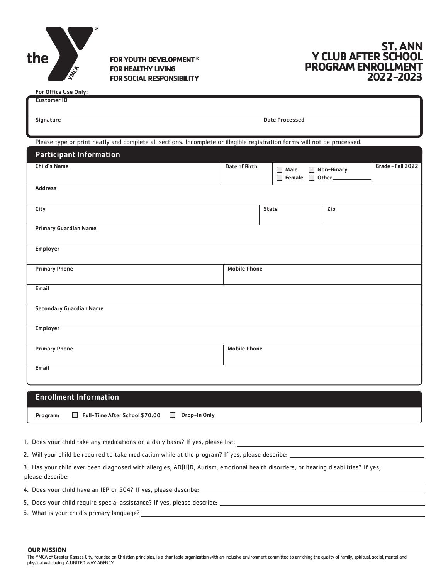

 $F = 0.5$ For  $F = 0.1$ 

**FOR YOUTH DEVELOPMENT® FOR HEALTHY LIVING FOR SOCIAL RESPONSIBILITY** 

# **ST. ANN Y CLUB AFTER SCHOOL PROGRAM ENROLLMENT 2022-2023**

| For Office Ose Only:                                                                                                     |                       |                     |            |                   |  |
|--------------------------------------------------------------------------------------------------------------------------|-----------------------|---------------------|------------|-------------------|--|
| <b>Customer ID</b>                                                                                                       |                       |                     |            |                   |  |
| <b>Signature</b>                                                                                                         | <b>Date Processed</b> |                     |            |                   |  |
| Please type or print neatly and complete all sections. Incomplete or illegible registration forms will not be processed. |                       |                     |            |                   |  |
|                                                                                                                          |                       |                     |            |                   |  |
| <b>Participant Information</b>                                                                                           |                       |                     |            |                   |  |
| Child's Name                                                                                                             | Date of Birth         | $\Box$ Male         | Non-Binary | Grade - Fall 2022 |  |
|                                                                                                                          |                       | Female 0ther        |            |                   |  |
| <b>Address</b>                                                                                                           |                       |                     |            |                   |  |
|                                                                                                                          |                       |                     |            |                   |  |
| City                                                                                                                     |                       | State               | Zip        |                   |  |
|                                                                                                                          |                       |                     |            |                   |  |
| <b>Primary Guardian Name</b>                                                                                             |                       |                     |            |                   |  |
|                                                                                                                          |                       |                     |            |                   |  |
| Employer                                                                                                                 |                       |                     |            |                   |  |
|                                                                                                                          |                       |                     |            |                   |  |
| <b>Primary Phone</b>                                                                                                     | <b>Mobile Phone</b>   |                     |            |                   |  |
|                                                                                                                          |                       |                     |            |                   |  |
| Email                                                                                                                    |                       |                     |            |                   |  |
|                                                                                                                          |                       |                     |            |                   |  |
| <b>Secondary Guardian Name</b>                                                                                           |                       |                     |            |                   |  |
|                                                                                                                          |                       |                     |            |                   |  |
| <b>Employer</b>                                                                                                          |                       |                     |            |                   |  |
|                                                                                                                          |                       |                     |            |                   |  |
| <b>Primary Phone</b>                                                                                                     |                       | <b>Mobile Phone</b> |            |                   |  |
|                                                                                                                          |                       |                     |            |                   |  |
| Email                                                                                                                    |                       |                     |            |                   |  |
|                                                                                                                          |                       |                     |            |                   |  |
|                                                                                                                          |                       |                     |            |                   |  |
| <b>Enrollment Information</b>                                                                                            |                       |                     |            |                   |  |

Program: Full-Time After School \$70.00 Drop-In Only

1. Does your child take any medications on a daily basis? If yes, please list:

2. Will your child be required to take medication while at the program? If yes, please describe: \_\_

3. Has your child ever been diagnosed with allergies, AD(H)D, Autism, emotional health disorders, or hearing disabilities? If yes, please describe:

4. Does your child have an IEP or 504? If yes, please describe:

5. Does your child require special assistance? If yes, please describe:

6. What is your child's primary language?

**OUR MISSION**